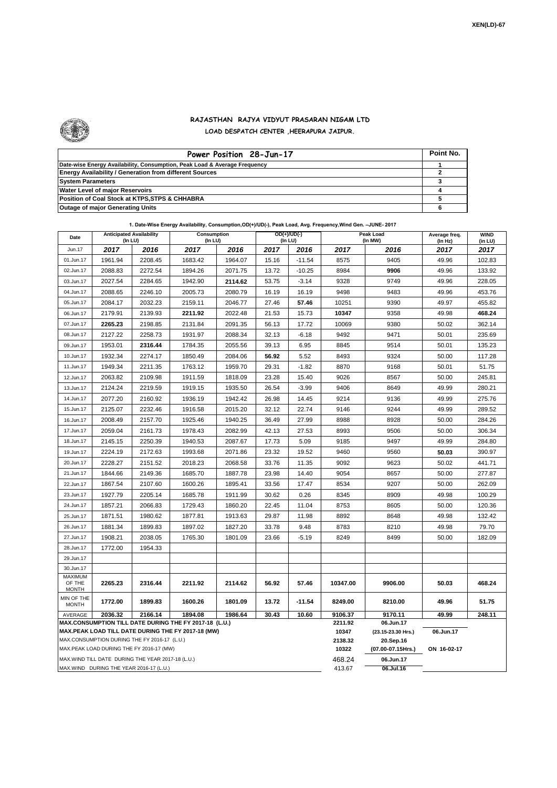

## **RAJASTHAN RAJYA VIDYUT PRASARAN NIGAM LTD LOAD DESPATCH CENTER ,HEERAPURA JAIPUR.**

| Power Position 28-Jun-17                                                  | Point No. |
|---------------------------------------------------------------------------|-----------|
| Date-wise Energy Availability, Consumption, Peak Load & Average Frequency |           |
| <b>Energy Availability / Generation from different Sources</b>            |           |
| <b>System Parameters</b>                                                  |           |
| <b>Water Level of major Reservoirs</b>                                    |           |
| Position of Coal Stock at KTPS, STPS & CHHABRA                            |           |
| <b>Outage of major Generating Units</b>                                   |           |

| Date                                                                                                         | <b>Anticipated Availability</b><br>(In LU) |                                          | Consumption<br>(In LU) |         | $OD(+)/UD(-)$<br>(In LU) |          |                  | Peak Load<br>(In MW)            | Average freq.<br>(In Hz) | <b>WIND</b><br>(in LU) |  |  |
|--------------------------------------------------------------------------------------------------------------|--------------------------------------------|------------------------------------------|------------------------|---------|--------------------------|----------|------------------|---------------------------------|--------------------------|------------------------|--|--|
| Jun.17                                                                                                       | 2017                                       | 2016                                     | 2017                   | 2016    | 2017                     | 2016     | 2017             | 2016                            | 2017                     | 2017                   |  |  |
| 01.Jun.17                                                                                                    | 1961.94                                    | 2208.45                                  | 1683.42                | 1964.07 | 15.16                    | $-11.54$ | 8575             | 9405                            | 49.96                    | 102.83                 |  |  |
| 02.Jun.17                                                                                                    | 2088.83                                    | 2272.54                                  | 1894.26                | 2071.75 | 13.72                    | $-10.25$ | 8984             | 9906                            | 49.96                    | 133.92                 |  |  |
| 03.Jun.17                                                                                                    | 2027.54                                    | 2284.65                                  | 1942.90                | 2114.62 | 53.75                    | $-3.14$  | 9328             | 9749                            | 49.96                    | 228.05                 |  |  |
| 04.Jun.17                                                                                                    | 2088.65                                    | 2246.10                                  | 2005.73                | 2080.79 | 16.19                    | 16.19    | 9498             | 9483                            | 49.96                    | 453.76                 |  |  |
| 05.Jun.17                                                                                                    | 2084.17                                    | 2032.23                                  | 2159.11                | 2046.77 | 27.46                    | 57.46    | 10251            | 9390                            | 49.97                    | 455.82                 |  |  |
| 06.Jun.17                                                                                                    | 2179.91                                    | 2139.93                                  | 2211.92                | 2022.48 | 21.53                    | 15.73    | 10347            | 9358                            | 49.98                    | 468.24                 |  |  |
| 07.Jun.17                                                                                                    | 2265.23                                    | 2198.85                                  | 2131.84                | 2091.35 | 56.13                    | 17.72    | 10069            | 9380                            | 50.02                    | 362.14                 |  |  |
| 08.Jun.17                                                                                                    | 2127.22                                    | 2258.73                                  | 1931.97                | 2088.34 | 32.13                    | $-6.18$  | 9492             | 9471                            | 50.01                    | 235.69                 |  |  |
| 09.Jun.17                                                                                                    | 1953.01                                    | 2316.44                                  | 1784.35                | 2055.56 | 39.13                    | 6.95     | 8845             | 9514                            | 50.01                    | 135.23                 |  |  |
| 10.Jun.17                                                                                                    | 1932.34                                    | 2274.17                                  | 1850.49                | 2084.06 | 56.92                    | 5.52     | 8493             | 9324                            | 50.00<br>117.28          |                        |  |  |
| 11.Jun.17                                                                                                    | 1949.34                                    | 2211.35                                  | 1763.12                | 1959.70 | 29.31                    | $-1.82$  | 8870             | 9168                            | 50.01                    | 51.75                  |  |  |
| 12.Jun.17                                                                                                    | 2063.82                                    | 2109.98                                  | 1911.59                | 1818.09 | 23.28                    | 15.40    | 9026             | 8567                            | 50.00                    | 245.81                 |  |  |
| 13.Jun.17                                                                                                    | 2124.24                                    | 2219.59                                  | 1919.15                | 1935.50 | 26.54                    | $-3.99$  | 9406             | 8649                            | 49.99                    | 280.21                 |  |  |
| 14.Jun.17                                                                                                    | 2077.20                                    | 2160.92                                  | 1936.19                | 1942.42 | 26.98                    | 14.45    | 9214             | 9136                            | 49.99                    | 275.76                 |  |  |
| 15.Jun.17                                                                                                    | 2125.07                                    | 2232.46                                  | 1916.58                | 2015.20 | 32.12                    | 22.74    | 9146             | 9244                            | 49.99                    | 289.52                 |  |  |
| 16.Jun.17                                                                                                    | 2008.49                                    | 2157.70                                  | 1925.46                | 1940.25 | 36.49                    | 27.99    | 8988             | 8928                            | 50.00                    | 284.26                 |  |  |
| 17.Jun.17                                                                                                    | 2059.04                                    | 2161.73                                  | 1978.43                | 2082.99 | 42.13                    | 27.53    | 8993             | 9506                            | 50.00                    | 306.34                 |  |  |
| 18.Jun.17                                                                                                    | 2145.15                                    | 2250.39                                  | 1940.53                | 2087.67 | 17.73                    | 5.09     | 9185             | 9497                            | 49.99                    | 284.80                 |  |  |
| 19.Jun.17                                                                                                    | 2224.19                                    | 2172.63                                  | 1993.68                | 2071.86 | 23.32                    | 19.52    | 9460             | 9560                            | 50.03                    | 390.97                 |  |  |
| 20.Jun.17                                                                                                    | 2228.27                                    | 2151.52                                  | 2018.23                | 2068.58 | 33.76                    | 11.35    | 9092             | 9623                            | 50.02                    | 441.71                 |  |  |
| 21.Jun.17                                                                                                    | 1844.66                                    | 2149.36                                  | 1685.70                | 1887.78 | 23.98                    | 14.40    | 9054             | 8657                            | 50.00                    | 277.87                 |  |  |
| 22.Jun.17                                                                                                    | 1867.54                                    | 2107.60                                  | 1600.26                | 1895.41 | 33.56                    | 17.47    | 8534             | 9207                            | 50.00                    | 262.09                 |  |  |
| 23.Jun.17                                                                                                    | 1927.79                                    | 2205.14                                  | 1685.78                | 1911.99 | 30.62                    | 0.26     | 8345             | 8909                            | 49.98                    | 100.29                 |  |  |
| 24.Jun.17                                                                                                    | 1857.21                                    | 2066.83                                  | 1729.43                | 1860.20 | 22.45                    | 11.04    | 8753             | 8605                            | 50.00                    | 120.36                 |  |  |
| 25.Jun.17                                                                                                    | 1871.51                                    | 1980.62                                  | 1877.81                | 1913.63 | 29.87                    | 11.98    | 8892             | 8648                            | 49.98                    | 132.42                 |  |  |
| 26.Jun.17                                                                                                    | 1881.34                                    | 1899.83                                  | 1897.02                | 1827.20 | 33.78                    | 9.48     | 8783             | 8210                            | 49.98                    | 79.70                  |  |  |
| 27.Jun.17                                                                                                    | 1908.21                                    | 2038.05                                  | 1765.30                | 1801.09 | 23.66                    | $-5.19$  | 8249             | 8499                            | 50.00                    | 182.09                 |  |  |
| 28.Jun.17                                                                                                    | 1772.00                                    | 1954.33                                  |                        |         |                          |          |                  |                                 |                          |                        |  |  |
| 29.Jun.17                                                                                                    |                                            |                                          |                        |         |                          |          |                  |                                 |                          |                        |  |  |
| 30.Jun.17                                                                                                    |                                            |                                          |                        |         |                          |          |                  |                                 |                          |                        |  |  |
| MAXIMUM<br>OF THE<br><b>MONTH</b>                                                                            | 2265.23                                    | 2316.44                                  | 2211.92                | 2114.62 | 56.92                    | 57.46    | 10347.00         | 9906.00                         | 50.03                    | 468.24                 |  |  |
| MIN OF THE<br><b>MONTH</b>                                                                                   | 1772.00                                    | 1899.83                                  | 1600.26                | 1801.09 | 13.72                    | $-11.54$ | 8249.00          | 8210.00                         | 49.96                    | 51.75                  |  |  |
| AVERAGE<br>2166.14<br>2036.32<br>1894.08<br>1986.64<br>30.43<br>10.60                                        |                                            |                                          |                        |         |                          |          |                  | 9170.11                         | 49.99                    | 248.11                 |  |  |
| MAX.CONSUMPTION TILL DATE DURING THE FY 2017-18 (L.U.)<br>MAX.PEAK LOAD TILL DATE DURING THE FY 2017-18 (MW) |                                            |                                          |                        |         |                          |          |                  | 06.Jun.17<br>(23.15-23.30 Hrs.) | 06.Jun.17                |                        |  |  |
| MAX.CONSUMPTION DURING THE FY 2016-17 (L.U.)                                                                 |                                            |                                          |                        |         |                          |          |                  | 20.Sep.16                       |                          |                        |  |  |
|                                                                                                              |                                            | MAX.PEAK LOAD DURING THE FY 2016-17 (MW) |                        |         |                          |          | 2138.32<br>10322 | (07.00-07.15Hrs.)               | ON 16-02-17              |                        |  |  |
| MAX. WIND TILL DATE DURING THE YEAR 2017-18 (L.U.)                                                           |                                            |                                          |                        |         |                          |          |                  | 06.Jun.17                       |                          |                        |  |  |
| MAX.WIND DURING THE YEAR 2016-17 (L.U.)                                                                      |                                            |                                          |                        |         |                          |          |                  | 06.Jul.16                       |                          |                        |  |  |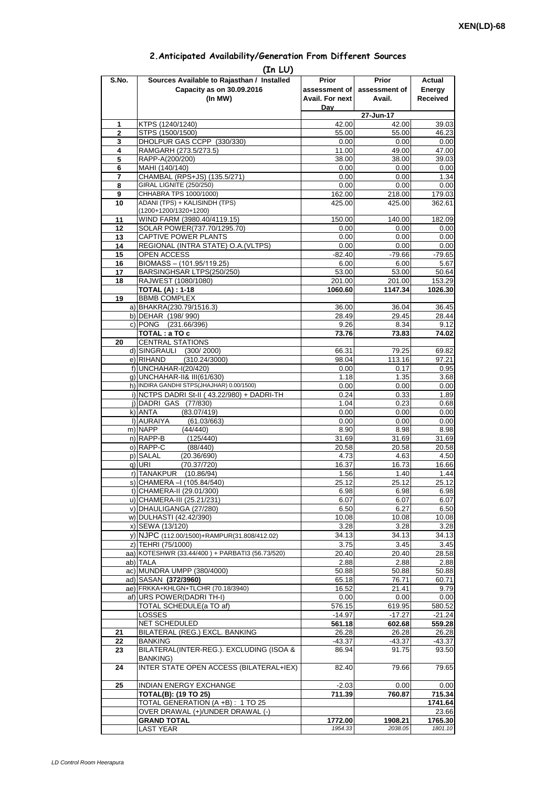| 2. Anticipated Availability/Generation From Different Sources |  |  |  |  |  |  |
|---------------------------------------------------------------|--|--|--|--|--|--|
|---------------------------------------------------------------|--|--|--|--|--|--|

| S.No.               | (In LU)<br>Sources Available to Rajasthan / Installed           | Prior                  | <b>Prior</b>            | Actual             |
|---------------------|-----------------------------------------------------------------|------------------------|-------------------------|--------------------|
|                     | Capacity as on 30.09.2016                                       | assessment of          | assessment of           | Energy             |
|                     | (In MW)                                                         | <b>Avail. For next</b> | Avail.                  | <b>Received</b>    |
|                     |                                                                 | Dav                    |                         |                    |
|                     |                                                                 |                        | $\overline{27}$ -Jun-17 |                    |
| 1                   | KTPS (1240/1240)                                                | 42.00                  | 42.00                   | 39.03              |
| $\overline{2}$<br>3 | STPS (1500/1500)<br>DHOLPUR GAS CCPP (330/330)                  | 55.00<br>0.00          | 55.00<br>0.00           | 46.23<br>0.00      |
| 4                   | RAMGARH (273.5/273.5)                                           | 11.00                  | 49.00                   | 47.00              |
| 5                   | RAPP-A(200/200)                                                 | 38.00                  | 38.00                   | 39.03              |
| 6                   | MAHI (140/140)                                                  | 0.00                   | 0.00                    | 0.00               |
| 7                   | CHAMBAL (RPS+JS) (135.5/271)                                    | 0.00                   | 0.00                    | 1.34               |
| 8<br>9              | GIRAL LIGNITE (250/250)<br>CHHABRA TPS 1000/1000)               | 0.00<br>162.00         | 0.00<br>218.00          | 0.00<br>179.03     |
| 10                  | ADANI (TPS) + KALISINDH (TPS)                                   | 425.00                 | 425.00                  | 362.61             |
|                     | (1200+1200/1320+1200)                                           |                        |                         |                    |
| 11                  | WIND FARM (3980.40/4119.15)                                     | 150.00                 | 140.00                  | 182.09             |
| 12                  | SOLAR POWER(737.70/1295.70)                                     | 0.00                   | 0.00                    | 0.00               |
| 13<br>14            | CAPTIVE POWER PLANTS<br>REGIONAL (INTRA STATE) O.A. (VLTPS)     | 0.00<br>0.00           | 0.00<br>0.00            | 0.00<br>0.00       |
| 15                  | OPEN ACCESS                                                     | $-82.40$               | $-79.66$                | $-79.65$           |
| 16                  | BIOMASS - (101.95/119.25)                                       | 6.00                   | 6.00                    | 5.67               |
| 17                  | BARSINGHSAR LTPS(250/250)                                       | 53.00                  | 53.00                   | 50.64              |
| 18                  | RAJWEST (1080/1080)                                             | 201.00                 | 201.00                  | 153.29             |
|                     | <b>TOTAL (A): 1-18</b>                                          | 1060.60                | 1147.34                 | 1026.30            |
| 19                  | <b>BBMB COMPLEX</b><br>a) BHAKRA(230.79/1516.3)                 | 36.00                  |                         |                    |
|                     | b) DEHAR (198/990)                                              | 28.49                  | 36.04<br>29.45          | 36.45<br>28.44     |
|                     | c) PONG (231.66/396)                                            | 9.26                   | 8.34                    | 9.12               |
|                     | TOTAL: a TO c                                                   | 73.76                  | 73.83                   | 74.02              |
| 20                  | <b>CENTRAL STATIONS</b>                                         |                        |                         |                    |
|                     | d) SINGRAULI<br>(300/2000)                                      | 66.31                  | 79.25                   | 69.82              |
|                     | e) RIHAND<br>(310.24/3000)<br>f) UNCHAHAR-I(20/420)             | 98.04<br>0.00          | 113.16<br>0.17          | 97.21<br>0.95      |
|                     | q) UNCHAHAR-II& III(61/630)                                     | 1.18                   | 1.35                    | 3.68               |
|                     | h) INDIRA GANDHI STPS(JHAJHAR) 0.00/1500)                       | 0.00                   | 0.00                    | 0.00               |
|                     | i) NCTPS DADRI St-II (43.22/980) + DADRI-TH                     | 0.24                   | 0.33                    | 1.89               |
|                     | j) DADRI GAS (77/830)                                           | 1.04                   | 0.23                    | 0.68               |
|                     | k) ANTA<br>(83.07/419)<br>I) AURAIYA                            | 0.00                   | 0.00                    | 0.00               |
|                     | (61.03/663)<br>m) NAPP<br>(44/440)                              | 0.00<br>8.90           | 0.00<br>8.98            | 0.00<br>8.98       |
|                     | n) RAPP-B<br>(125/440)                                          | 31.69                  | 31.69                   | 31.69              |
|                     | o) RAPP-C<br>(88/440)                                           | 20.58                  | 20.58                   | 20.58              |
|                     | p) SALAL<br>(20.36/690)                                         | 4.73                   | 4.63                    | 4.50               |
|                     | (70.37/720)<br>q) URI<br>r) TANAKPUR<br>(10.86/94)              | 16.37<br>1.56          | 16.73<br>1.40           | 16.66<br>1.44      |
|                     | S) CHAMERA –I (105.84/540)                                      | 25.12                  | 25.12                   | 25.12              |
|                     | t) CHAMERA-II (29.01/300)                                       | 6.98                   | 6.98                    | 6.98               |
|                     | u) CHAMERA-III (25.21/231)                                      | 6.07                   | 6.07                    | 6.07               |
|                     | v) DHAULIGANGA (27/280)                                         | 6.50                   | 6.27                    | 6.50               |
|                     | w) DULHASTI (42.42/390)                                         | 10.08                  | 10.08                   | 10.08              |
|                     | x) SEWA (13/120)<br>y) NJPC (112.00/1500)+RAMPUR(31.808/412.02) | 3.28<br>34.13          | 3.28<br>34.13           | 3.28<br>34.13      |
|                     | z) TEHRI (75/1000)                                              | 3.75                   | 3.45                    | 3.45               |
|                     | aa) KOTESHWR (33.44/400) + PARBATI3 (56.73/520)                 | 20.40                  | 20.40                   | 28.58              |
|                     | ab) TALA                                                        | 2.88                   | 2.88                    | 2.88               |
|                     | ac) MUNDRA UMPP (380/4000)                                      | 50.88                  | 50.88                   | 50.88              |
|                     | ad) SASAN (372/3960)                                            | 65.18                  | 76.71                   | 60.71              |
|                     | ae) FRKKA+KHLGN+TLCHR (70.18/3940)<br>af) URS POWER(DADRI TH-I) | 16.52<br>0.00          | 21.41<br>0.00           | 9.79<br>0.00       |
|                     | TOTAL SCHEDULE(a TO af)                                         | 576.15                 | 619.95                  | 580.52             |
|                     | <b>LOSSES</b>                                                   | $-14.97$               | $-17.27$                | $-21.24$           |
|                     | NET SCHEDULED                                                   | 561.18                 | 602.68                  | 559.28             |
| 21                  | BILATERAL (REG.) EXCL. BANKING                                  | 26.28                  | 26.28                   | 26.28              |
| 22<br>23            | <b>BANKING</b><br>BILATERAL(INTER-REG.). EXCLUDING (ISOA &      | $-43.37$<br>86.94      | $-43.37$<br>91.75       | $-43.37$<br>93.50  |
|                     | <b>BANKING)</b>                                                 |                        |                         |                    |
| 24                  | INTER STATE OPEN ACCESS (BILATERAL+IEX)                         | 82.40                  | 79.66                   | 79.65              |
| 25                  | INDIAN ENERGY EXCHANGE                                          | $-2.03$                | 0.00                    | 0.00               |
|                     | <b>TOTAL(B): (19 TO 25)</b>                                     | 711.39                 | 760.87                  | 715.34             |
|                     | TOTAL GENERATION (A +B) : 1 TO 25                               |                        |                         | 1741.64            |
|                     | OVER DRAWAL (+)/UNDER DRAWAL (-)                                |                        |                         | 23.66              |
|                     | <b>GRAND TOTAL</b>                                              | 1772.00<br>1954.33     | 1908.21                 | 1765.30<br>1801.10 |
|                     | <b>LAST YEAR</b>                                                |                        | 2038.05                 |                    |